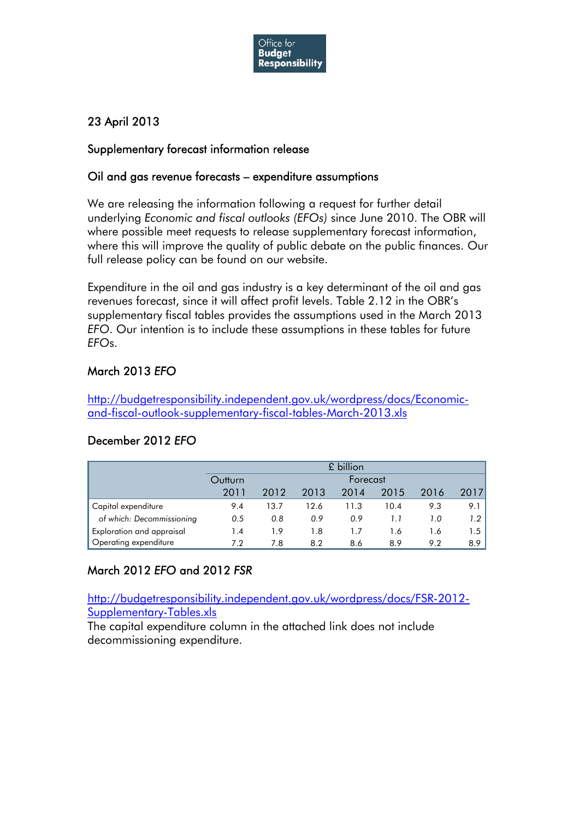

## 23 April 2013

#### Supplementary forecast information release

#### Oil and gas revenue forecasts – expenditure assumptions

We are releasing the information following a request for further detail underlying *Economic and fiscal outlooks (EFOs)* since June 2010. The OBR will where possible meet requests to release supplementary forecast information, where this will improve the quality of public debate on the public finances. Our full release policy can be found on our website.

Expenditure in the oil and gas industry is a key determinant of the oil and gas revenues forecast, since it will affect profit levels. Table 2.12 in the OBR's supplementary fiscal tables provides the assumptions used in the March 2013 *EFO*. Our intention is to include these assumptions in these tables for future *EFO*s.

#### March 2013 *EFO*

[http://budgetresponsibility.independent.gov.uk/wordpress/docs/Economic](http://budgetresponsibility.independent.gov.uk/wordpress/docs/Economic-and-fiscal-outlook-supplementary-fiscal-tables-March-2013.xls)[and-fiscal-outlook-supplementary-fiscal-tables-March-2013.xls](http://budgetresponsibility.independent.gov.uk/wordpress/docs/Economic-and-fiscal-outlook-supplementary-fiscal-tables-March-2013.xls)

|                           | £ billion           |      |      |                |      |      |      |  |
|---------------------------|---------------------|------|------|----------------|------|------|------|--|
|                           | Outturn<br>Forecast |      |      |                |      |      |      |  |
|                           | 2011                | 2012 | 2013 | 2014           | 2015 | 2016 | 2017 |  |
| Capital expenditure       | 9.4                 | 13.7 | 12.6 | 11.3           | 10.4 | 9.3  | 9.1  |  |
| of which: Decommissioning | 0.5                 | 0.8  | 0.9  | 0.9            |      | 1.0  | 1.2  |  |
| Exploration and appraisal | 1.4                 | 1.9  | 1.8  | $\mathsf{L}$ . | 1.6  | 1.6  | 1.5  |  |
| Operating expenditure     | 7.2                 | 7.8  | 8.2  | 8.6            | 8.9  | 9.2  | 8.9  |  |

#### December 2012 *EFO*

## March 2012 *EFO* and 2012 *FSR*

[http://budgetresponsibility.independent.gov.uk/wordpress/docs/FSR-2012-](http://budgetresponsibility.independent.gov.uk/wordpress/docs/FSR-2012-Supplementary-Tables.xls) [Supplementary-Tables.xls](http://budgetresponsibility.independent.gov.uk/wordpress/docs/FSR-2012-Supplementary-Tables.xls)

The capital expenditure column in the attached link does not include decommissioning expenditure.